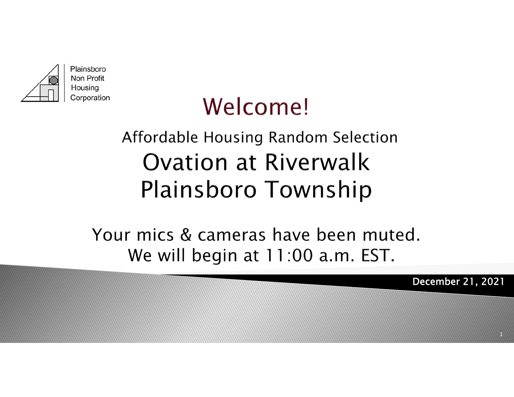

# Welcome!

### Affordable Housing Random Selection **Ovation at Riverwalk Plainsboro Township**

Your mics & cameras have been muted. We will begin at 11:00 a.m. EST.

December 21, 2021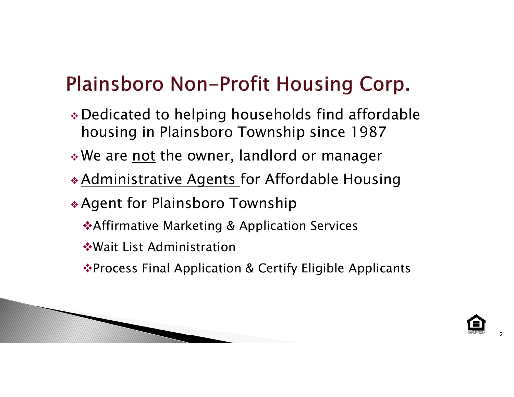### Plainsboro Non-Profit Housing Corp.

- Dedicated to helping households find affordable housing in Plainsboro Township since 1987
- $\boldsymbol{*}$  We are <u>not</u> the owner, landlord or manager
- Administrative Agents for Affordable Housing
- Agent for Plainsboro Township
	- **\*Affirmative Marketing & Application Services**
	- Wait List Administration
	- ◆ Process Final Application & Certify Eligible Applicants

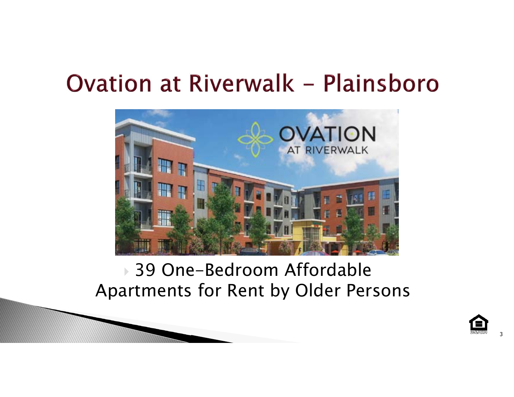

#### 39 One-Bedroom Affordable Apartments for Rent by Older Persons

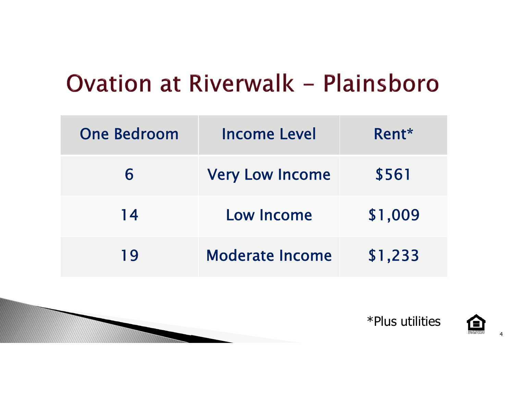| <b>One Bedroom</b> | <b>Income Level</b>    | $Rent*$ |  |
|--------------------|------------------------|---------|--|
| 6                  | <b>Very Low Income</b> | \$561   |  |
| 14                 | Low Income             | \$1,009 |  |
| 19                 | <b>Moderate Income</b> | \$1,233 |  |



\*Plus utilities

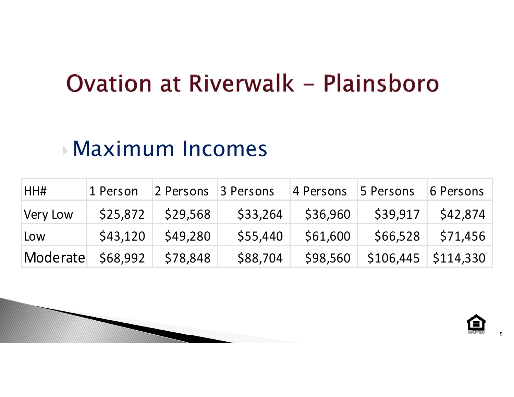### Maximum Incomes

| HH#               | 1 Person | 2 Persons 3 Persons |          | 4 Persons 5 Persons |                                 | 6 Persons           |
|-------------------|----------|---------------------|----------|---------------------|---------------------------------|---------------------|
| Very Low          |          | $$25,872$ $$29,568$ |          | $$33,264$ $$36,960$ | \$39,917                        | \$42,874            |
| Low               | \$43,120 | \$49,280            | \$55,440 | \$61,600            |                                 | $$66,528$ $$71,456$ |
| Moderate \$68,992 |          | \$78,848            | \$88,704 |                     | $$98,560$ $$106,445$ $$114,330$ |                     |

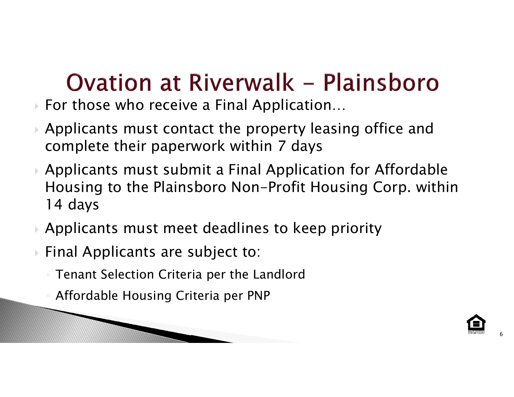- For those who receive a Final Application…
- Applicants must contact the property leasing office and complete their paperwork within 7 days
- Applicants must submit a Final Application for Affordable Housing to the Plainsboro Non-Profit Housing Corp. within 14 days
- Applicants must meet deadlines to keep priority
- Final Applicants are subject to:
	- Tenant Selection Criteria per the Landlord
	- Affordable Housing Criteria per PNP

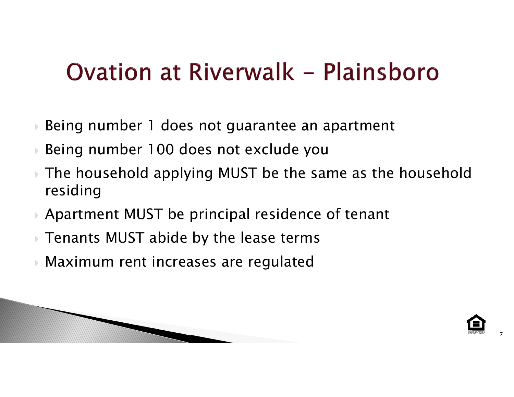- $\blacktriangleright$ Being number 1 does not guarantee an apartment
- $\blacktriangleright$ Being number 100 does not exclude you
- $\blacktriangleright$  The household applying MUST be the same as the household residing
- Apartment MUST be principal residence of tenant
- Tenants MUST abide by the lease terms
- $\blacktriangleright$ Maximum rent increases are regulated

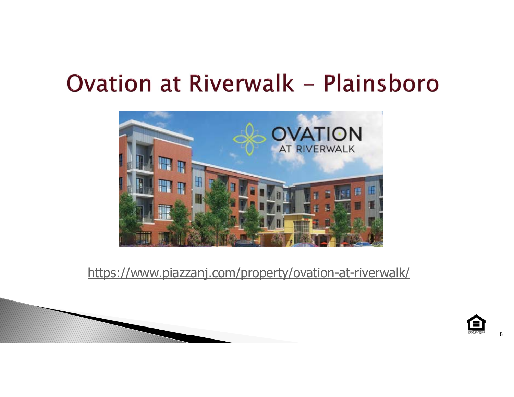

https://www.piazzanj.com/property/ovation-at-riverwalk/